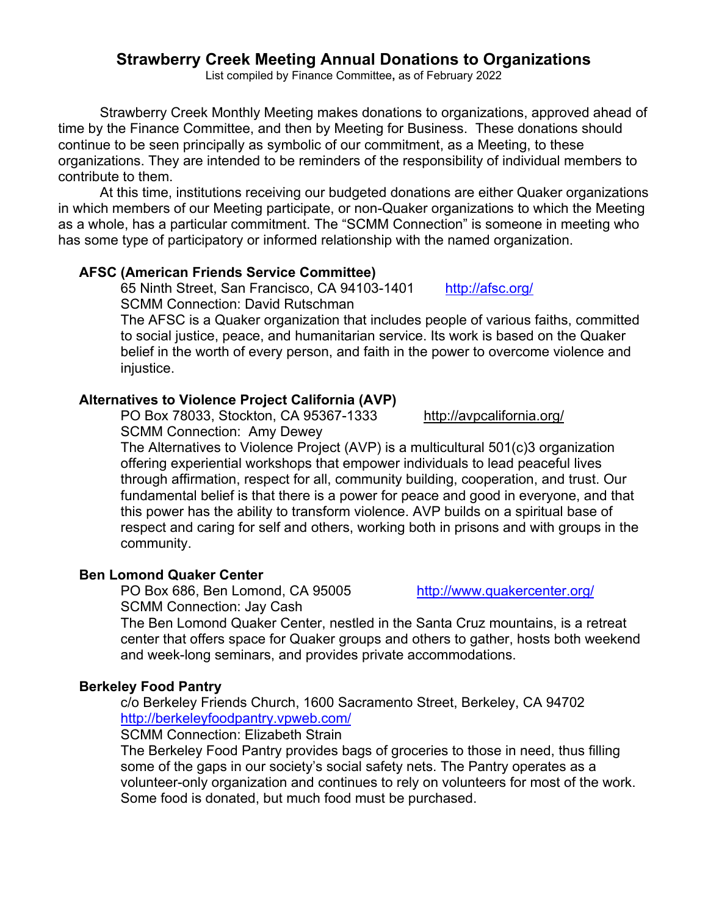# **Strawberry Creek Meeting Annual Donations to Organizations**

List compiled by Finance Committee**,** as of February 2022

 Strawberry Creek Monthly Meeting makes donations to organizations, approved ahead of time by the Finance Committee, and then by Meeting for Business. These donations should continue to be seen principally as symbolic of our commitment, as a Meeting, to these organizations. They are intended to be reminders of the responsibility of individual members to contribute to them.

 At this time, institutions receiving our budgeted donations are either Quaker organizations in which members of our Meeting participate, or non-Quaker organizations to which the Meeting as a whole, has a particular commitment. The "SCMM Connection" is someone in meeting who has some type of participatory or informed relationship with the named organization.

## **AFSC (American Friends Service Committee)**

65 Ninth Street, San Francisco, CA 94103-1401 http://afsc.org/ SCMM Connection: David Rutschman

The AFSC is a Quaker organization that includes people of various faiths, committed to social justice, peace, and humanitarian service. Its work is based on the Quaker belief in the worth of every person, and faith in the power to overcome violence and injustice.

# **Alternatives to Violence Project California (AVP)**

PO Box 78033, Stockton, CA 95367-1333 http://avpcalifornia.org/

SCMM Connection: Amy Dewey

The Alternatives to Violence Project (AVP) is a multicultural 501(c)3 organization offering experiential workshops that empower individuals to lead peaceful lives through affirmation, respect for all, community building, cooperation, and trust. Our fundamental belief is that there is a power for peace and good in everyone, and that this power has the ability to transform violence. AVP builds on a spiritual base of respect and caring for self and others, working both in prisons and with groups in the community.

## **Ben Lomond Quaker Center**

PO Box 686, Ben Lomond, CA 95005 http://www.quakercenter.org/ SCMM Connection: Jay Cash

The Ben Lomond Quaker Center, nestled in the Santa Cruz mountains, is a retreat center that offers space for Quaker groups and others to gather, hosts both weekend and week-long seminars, and provides private accommodations.

## **Berkeley Food Pantry**

c/o Berkeley Friends Church, 1600 Sacramento Street, Berkeley, CA 94702 http://berkeleyfoodpantry.vpweb.com/

## SCMM Connection: Elizabeth Strain

The Berkeley Food Pantry provides bags of groceries to those in need, thus filling some of the gaps in our society's social safety nets. The Pantry operates as a volunteer-only organization and continues to rely on volunteers for most of the work. Some food is donated, but much food must be purchased.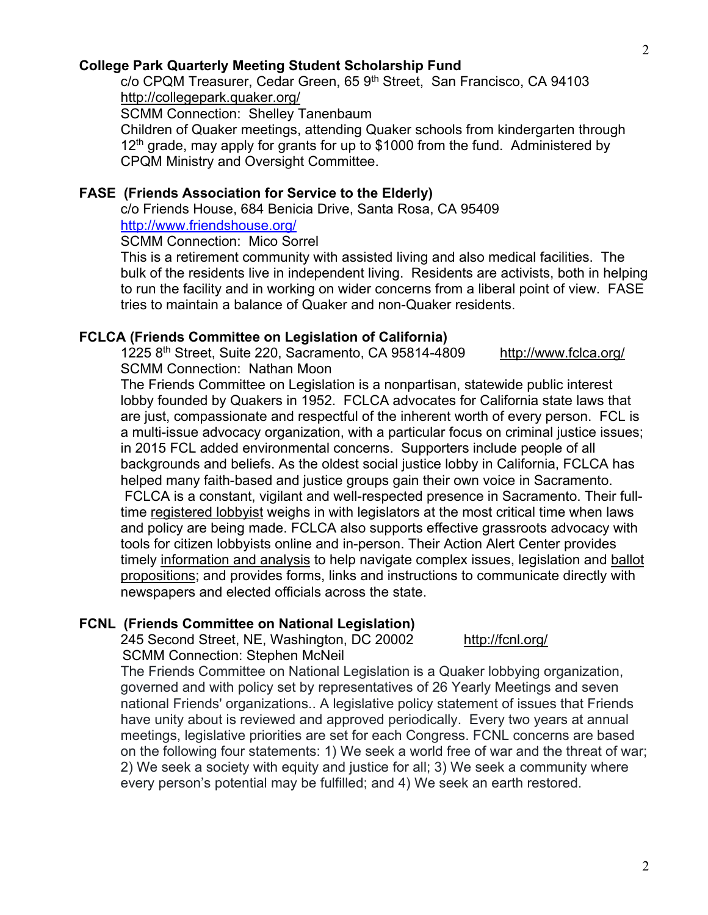## **College Park Quarterly Meeting Student Scholarship Fund**

c/o CPQM Treasurer, Cedar Green, 65 9<sup>th</sup> Street, San Francisco, CA 94103 http://collegepark.quaker.org/

SCMM Connection: Shelley Tanenbaum

Children of Quaker meetings, attending Quaker schools from kindergarten through  $12<sup>th</sup>$  grade, may apply for grants for up to \$1000 from the fund. Administered by CPQM Ministry and Oversight Committee.

## **FASE (Friends Association for Service to the Elderly)**

c/o Friends House, 684 Benicia Drive, Santa Rosa, CA 95409 http://www.friendshouse.org/

SCMM Connection: Mico Sorrel

This is a retirement community with assisted living and also medical facilities. The bulk of the residents live in independent living. Residents are activists, both in helping to run the facility and in working on wider concerns from a liberal point of view. FASE tries to maintain a balance of Quaker and non-Quaker residents.

## **FCLCA (Friends Committee on Legislation of California)**

1225 8th Street, Suite 220, Sacramento, CA 95814-4809 http://www.fclca.org/ SCMM Connection: Nathan Moon

The Friends Committee on Legislation is a nonpartisan, statewide public interest lobby founded by Quakers in 1952. FCLCA advocates for California state laws that are just, compassionate and respectful of the inherent worth of every person. FCL is a multi-issue advocacy organization, with a particular focus on criminal justice issues; in 2015 FCL added environmental concerns. Supporters include people of all backgrounds and beliefs. As the oldest social justice lobby in California, FCLCA has helped many faith-based and justice groups gain their own voice in Sacramento. FCLCA is a constant, vigilant and well-respected presence in Sacramento. Their fulltime registered lobbyist weighs in with legislators at the most critical time when laws and policy are being made. FCLCA also supports effective grassroots advocacy with tools for citizen lobbyists online and in-person. Their Action Alert Center provides timely information and analysis to help navigate complex issues, legislation and ballot propositions; and provides forms, links and instructions to communicate directly with newspapers and elected officials across the state.

#### **FCNL (Friends Committee on National Legislation)**

245 Second Street, NE, Washington, DC 20002 http://fcnl.org/ **SCMM Connection: Stephen McNeil** 

The Friends Committee on National Legislation is a Quaker lobbying organization, governed and with policy set by representatives of 26 Yearly Meetings and seven national Friends' organizations.. A legislative policy statement of issues that Friends have unity about is reviewed and approved periodically. Every two years at annual meetings, legislative priorities are set for each Congress. FCNL concerns are based on the following four statements: 1) We seek a world free of war and the threat of war; 2) We seek a society with equity and justice for all; 3) We seek a community where every person's potential may be fulfilled; and 4) We seek an earth restored.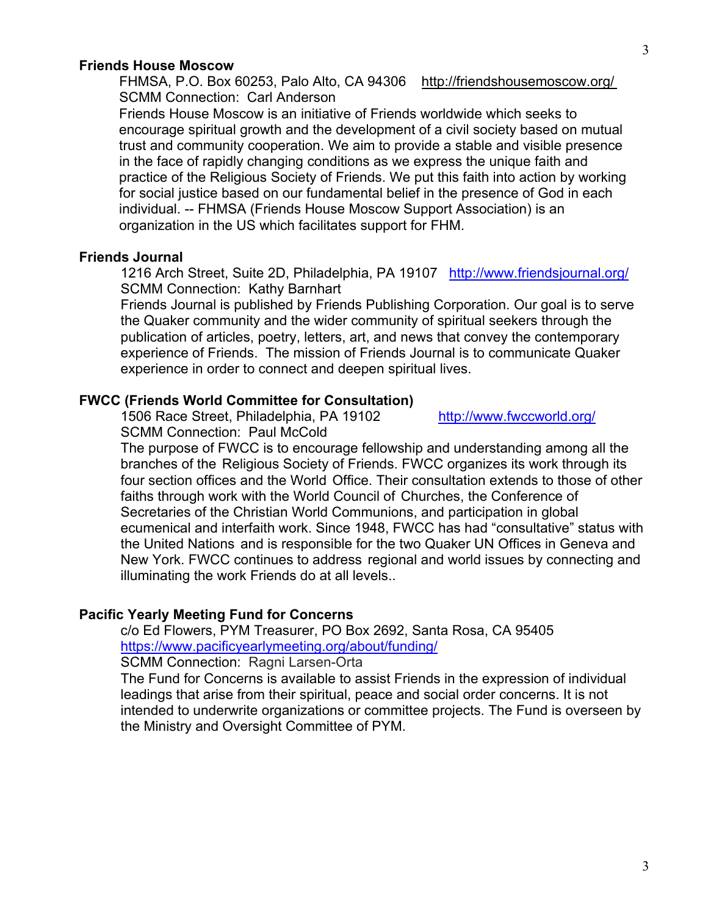#### **Friends House Moscow**

FHMSA, P.O. Box 60253, Palo Alto, CA 94306 http://friendshousemoscow.org/ SCMM Connection: Carl Anderson

 Friends House Moscow is an initiative of Friends worldwide which seeks to encourage spiritual growth and the development of a civil society based on mutual trust and community cooperation. We aim to provide a stable and visible presence in the face of rapidly changing conditions as we express the unique faith and practice of the Religious Society of Friends. We put this faith into action by working for social justice based on our fundamental belief in the presence of God in each individual. -- FHMSA (Friends House Moscow Support Association) is an organization in the US which facilitates support for FHM.

## **Friends Journal**

1216 Arch Street, Suite 2D, Philadelphia, PA 19107 http://www.friendsjournal.org/ SCMM Connection: Kathy Barnhart

Friends Journal is published by Friends Publishing Corporation. Our goal is to serve the Quaker community and the wider community of spiritual seekers through the publication of articles, poetry, letters, art, and news that convey the contemporary experience of Friends. The mission of Friends Journal is to communicate Quaker experience in order to connect and deepen spiritual lives.

## **FWCC (Friends World Committee for Consultation)**

1506 Race Street, Philadelphia, PA 19102 http://www.fwccworld.org/ SCMM Connection: Paul McCold

The purpose of FWCC is to encourage fellowship and understanding among all the branches of the Religious Society of Friends. FWCC organizes its work through its four section offices and the World Office. Their consultation extends to those of other faiths through work with the World Council of Churches, the Conference of Secretaries of the Christian World Communions, and participation in global ecumenical and interfaith work. Since 1948, FWCC has had "consultative" status with the United Nations and is responsible for the two Quaker UN Offices in Geneva and New York. FWCC continues to address regional and world issues by connecting and illuminating the work Friends do at all levels..

#### **Pacific Yearly Meeting Fund for Concerns**

c/o Ed Flowers, PYM Treasurer, PO Box 2692, Santa Rosa, CA 95405 https://www.pacificyearlymeeting.org/about/funding/ SCMM Connection: Ragni Larsen-Orta

The Fund for Concerns is available to assist Friends in the expression of individual leadings that arise from their spiritual, peace and social order concerns. It is not intended to underwrite organizations or committee projects. The Fund is overseen by the Ministry and Oversight Committee of PYM.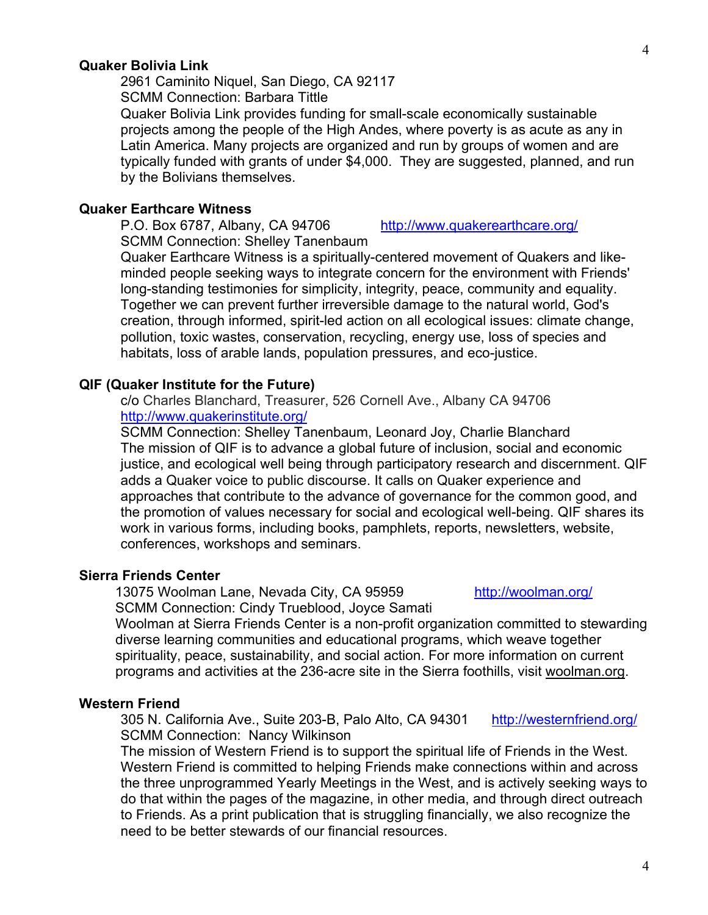#### **Quaker Bolivia Link**

2961 Caminito Niquel, San Diego, CA 92117 SCMM Connection: Barbara Tittle

Quaker Bolivia Link provides funding for small-scale economically sustainable projects among the people of the High Andes, where poverty is as acute as any in Latin America. Many projects are organized and run by groups of women and are typically funded with grants of under \$4,000. They are suggested, planned, and run by the Bolivians themselves.

#### **Quaker Earthcare Witness**

SCMM Connection: Shelley Tanenbaum

Quaker Earthcare Witness is a spiritually-centered movement of Quakers and likeminded people seeking ways to integrate concern for the environment with Friends' long-standing testimonies for simplicity, integrity, peace, community and equality. Together we can prevent further irreversible damage to the natural world, God's creation, through informed, spirit-led action on all ecological issues: climate change, pollution, toxic wastes, conservation, recycling, energy use, loss of species and habitats, loss of arable lands, population pressures, and eco-justice.

#### **QIF (Quaker Institute for the Future)**

# c/o Charles Blanchard, Treasurer, 526 Cornell Ave., Albany CA 94706 http://www.quakerinstitute.org/

SCMM Connection: Shelley Tanenbaum, Leonard Joy, Charlie Blanchard The mission of QIF is to advance a global future of inclusion, social and economic justice, and ecological well being through participatory research and discernment. QIF adds a Quaker voice to public discourse. It calls on Quaker experience and approaches that contribute to the advance of governance for the common good, and the promotion of values necessary for social and ecological well-being. QIF shares its work in various forms, including books, pamphlets, reports, newsletters, website, conferences, workshops and seminars.

#### **Sierra Friends Center**

 13075 Woolman Lane, Nevada City, CA 95959 http://woolman.org/ SCMM Connection: Cindy Trueblood, Joyce Samati

Woolman at Sierra Friends Center is a non-profit organization committed to stewarding diverse learning communities and educational programs, which weave together spirituality, peace, sustainability, and social action. For more information on current programs and activities at the 236-acre site in the Sierra foothills, visit woolman.org.

#### **Western Friend**

305 N. California Ave., Suite 203-B, Palo Alto, CA 94301 http://westernfriend.org/ SCMM Connection: Nancy Wilkinson

The mission of Western Friend is to support the spiritual life of Friends in the West. Western Friend is committed to helping Friends make connections within and across the three unprogrammed Yearly Meetings in the West, and is actively seeking ways to do that within the pages of the magazine, in other media, and through direct outreach to Friends. As a print publication that is struggling financially, we also recognize the need to be better stewards of our financial resources.

P.O. Box 6787, Albany, CA 94706 http://www.quakerearthcare.org/